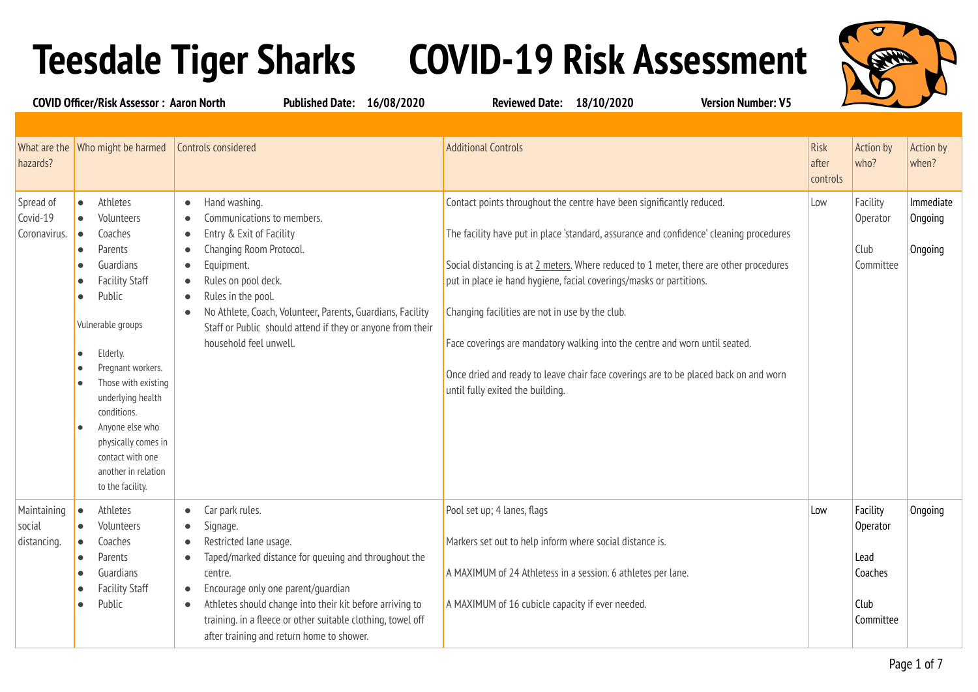## **Teesdale Tiger Sharks COVID-19 Risk Assessment**



**COVID Officer/Risk Assessor : Aaron North Published Date: 16/08/2020 Reviewed Date: 18/10/2020 Version Number: V5** What are the Who might be harmed hazards? Who might be harmed **Controls considered Additional Controls Risk** Additional Controls Risk Risk Risk Risk Risk after controls Action by who? Action by when? Spread of Covid-19 Coronavirus. ● Athletes ● Volunteers ● Coaches ● Parents **Guardians Facility Staff** Public Vulnerable groups Elderly. ● Pregnant workers. Those with existing underlying health conditions. Anyone else who physically comes in contact with one another in relation to the facility. ● Hand washing. ● Communications to members. ● Entry & Exit of Facility ● Changing Room Protocol. ● Equipment. ● Rules on pool deck. ● Rules in the pool. ● No Athlete, Coach, Volunteer, Parents, Guardians, Facility Staff or Public should attend if they or anyone from their household feel unwell. Contact points throughout the centre have been significantly reduced. The facility have put in place 'standard, assurance and confidence' cleaning procedures Social distancing is at 2 meters. Where reduced to 1 meter, there are other procedures put in place ie hand hygiene, facial coverings/masks or partitions. Changing facilities are not in use by the club. Face coverings are mandatory walking into the centre and worn until seated. Once dried and ready to leave chair face coverings are to be placed back on and worn until fully exited the building. Low **Facility Operator** Club Committee Immediate **Ongoing Ongoing** Maintaining social distancing. ● Athletes ● Volunteers ● Coaches ● Parents **Guardians** ● Facility Staff ● Public ● Car park rules. ● Signage. Restricted lane usage. ● Taped/marked distance for queuing and throughout the centre. ● Encourage only one parent/guardian ● Athletes should change into their kit before arriving to training. in a fleece or other suitable clothing, towel off after training and return home to shower. Pool set up; 4 lanes, flags Markers set out to help inform where social distance is. A MAXIMUM of 24 Athletess in a session. 6 athletes per lane. A MAXIMUM of 16 cubicle capacity if ever needed. Low **Facility Operator** Lead Coaches Club Committee **Ongoing**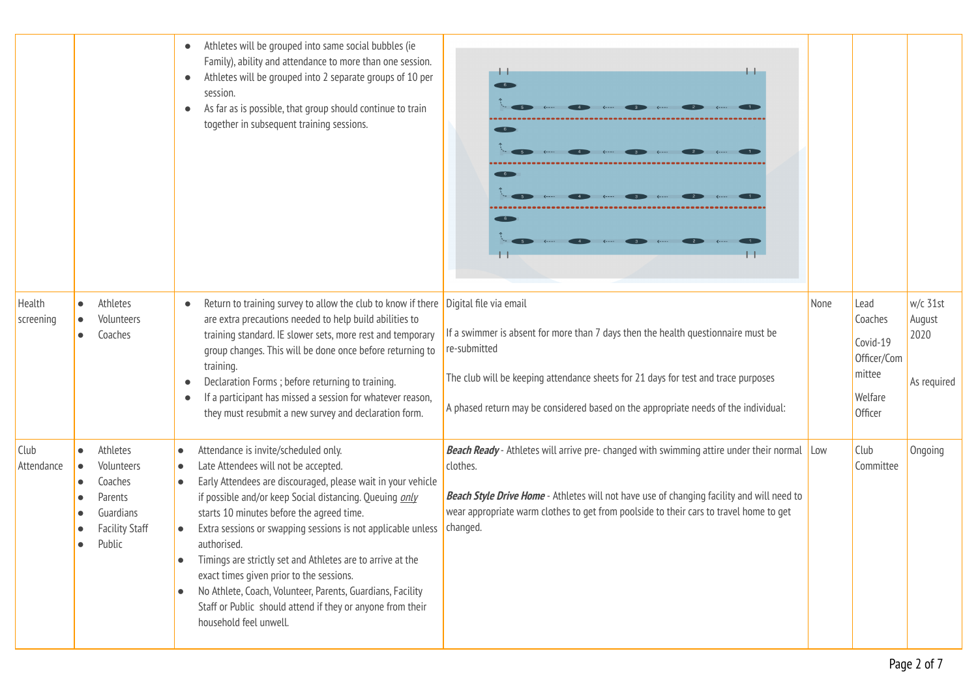|                           |                                                                                                           | Athletes will be grouped into same social bubbles (ie<br>$\bullet$<br>Family), ability and attendance to more than one session.<br>Athletes will be grouped into 2 separate groups of 10 per<br>$\bullet$<br>session.<br>As far as is possible, that group should continue to train<br>$\bullet$<br>together in subsequent training sessions.                                                                                                                                                                                                                                                                                                                       | . .                                                                                                                                                                                                                                                                                                   |      |                                                                            |                                           |
|---------------------------|-----------------------------------------------------------------------------------------------------------|---------------------------------------------------------------------------------------------------------------------------------------------------------------------------------------------------------------------------------------------------------------------------------------------------------------------------------------------------------------------------------------------------------------------------------------------------------------------------------------------------------------------------------------------------------------------------------------------------------------------------------------------------------------------|-------------------------------------------------------------------------------------------------------------------------------------------------------------------------------------------------------------------------------------------------------------------------------------------------------|------|----------------------------------------------------------------------------|-------------------------------------------|
| Health<br>screening       | Athletes<br>$\bullet$<br>Volunteers<br>Coaches                                                            | Return to training survey to allow the club to know if there Digital file via email<br>are extra precautions needed to help build abilities to<br>training standard. IE slower sets, more rest and temporary<br>group changes. This will be done once before returning to<br>training.<br>Declaration Forms ; before returning to training.<br>$\bullet$<br>If a participant has missed a session for whatever reason,<br>$\bullet$<br>they must resubmit a new survey and declaration form.                                                                                                                                                                        | If a swimmer is absent for more than 7 days then the health questionnaire must be<br>re-submitted<br>The club will be keeping attendance sheets for 21 days for test and trace purposes<br>A phased return may be considered based on the appropriate needs of the individual:                        | None | Lead<br>Coaches<br>Covid-19<br>Officer/Com<br>mittee<br>Welfare<br>Officer | w/c 31st<br>August<br>2020<br>As required |
| <b>Club</b><br>Attendance | Athletes<br>$\bullet$<br>Volunteers<br>Coaches<br>Parents<br>Guardians<br><b>Facility Staff</b><br>Public | Attendance is invite/scheduled only.<br>$\bullet$<br>Late Attendees will not be accepted.<br>clothes.<br>$\bullet$<br>Early Attendees are discouraged, please wait in your vehicle<br>$\bullet$<br>if possible and/or keep Social distancing. Queuing only<br>starts 10 minutes before the agreed time.<br>Extra sessions or swapping sessions is not applicable unless<br>authorised.<br>Timings are strictly set and Athletes are to arrive at the<br>exact times given prior to the sessions.<br>No Athlete, Coach, Volunteer, Parents, Guardians, Facility<br>$\bullet$<br>Staff or Public should attend if they or anyone from their<br>household feel unwell. | <b>Beach Ready</b> - Athletes will arrive pre- changed with swimming attire under their normal Low<br>Beach Style Drive Home - Athletes will not have use of changing facility and will need to<br>wear appropriate warm clothes to get from poolside to their cars to travel home to get<br>changed. |      | Club<br>Committee                                                          | Ongoing                                   |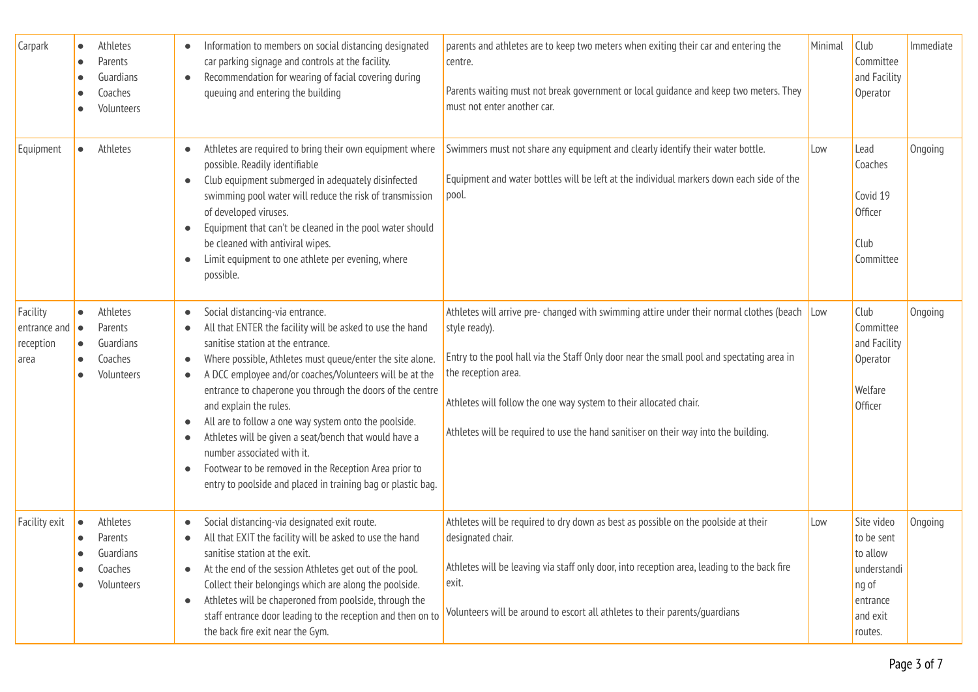| <b>Carpark</b>                                          | $\bullet$              | Athletes<br>Parents<br>Guardians<br>Coaches<br>Volunteers | $\bullet$                                                                       | Information to members on social distancing designated<br>car parking signage and controls at the facility.<br>Recommendation for wearing of facial covering during<br>queuing and entering the building                                                                                                                                                                                                                                                                                                                                                                                                                  | parents and athletes are to keep two meters when exiting their car and entering the<br>centre.<br>Parents waiting must not break government or local guidance and keep two meters. They<br>must not enter another car.                                                                                                                                                                       | Minimal | Club<br>Committee<br>and Facility<br>Operator                                                   | Immediate |
|---------------------------------------------------------|------------------------|-----------------------------------------------------------|---------------------------------------------------------------------------------|---------------------------------------------------------------------------------------------------------------------------------------------------------------------------------------------------------------------------------------------------------------------------------------------------------------------------------------------------------------------------------------------------------------------------------------------------------------------------------------------------------------------------------------------------------------------------------------------------------------------------|----------------------------------------------------------------------------------------------------------------------------------------------------------------------------------------------------------------------------------------------------------------------------------------------------------------------------------------------------------------------------------------------|---------|-------------------------------------------------------------------------------------------------|-----------|
| Equipment                                               | $\bullet$              | Athletes                                                  | $\bullet$<br>$\bullet$<br>$\bullet$                                             | Athletes are required to bring their own equipment where<br>possible. Readily identifiable<br>Club equipment submerged in adequately disinfected<br>swimming pool water will reduce the risk of transmission<br>of developed viruses.<br>Equipment that can't be cleaned in the pool water should<br>be cleaned with antiviral wipes.<br>Limit equipment to one athlete per evening, where<br>possible.                                                                                                                                                                                                                   | Swimmers must not share any equipment and clearly identify their water bottle.<br>Equipment and water bottles will be left at the individual markers down each side of the<br>pool.                                                                                                                                                                                                          | Low     | Lead<br>Coaches<br>Covid 19<br>Officer<br>Club<br>Committee                                     | Ongoing   |
| Facility<br>entrance and $\bullet$<br>reception<br>area | $\bullet$<br>$\bullet$ | Athletes<br>Parents<br>Guardians<br>Coaches<br>Volunteers | $\blacksquare$<br>$\bullet$<br>$\bullet$<br>$\bullet$<br>$\bullet$<br>$\bullet$ | Social distancing-via entrance.<br>All that ENTER the facility will be asked to use the hand<br>sanitise station at the entrance.<br>Where possible, Athletes must queue/enter the site alone.<br>A DCC employee and/or coaches/Volunteers will be at the<br>entrance to chaperone you through the doors of the centre<br>and explain the rules.<br>All are to follow a one way system onto the poolside.<br>Athletes will be given a seat/bench that would have a<br>number associated with it.<br>Footwear to be removed in the Reception Area prior to<br>entry to poolside and placed in training bag or plastic bag. | Athletes will arrive pre-changed with swimming attire under their normal clothes (beach Low<br>style ready).<br>Entry to the pool hall via the Staff Only door near the small pool and spectating area in<br>the reception area.<br>Athletes will follow the one way system to their allocated chair.<br>Athletes will be required to use the hand sanitiser on their way into the building. |         | Club<br>Committee<br>and Facility<br>Operator<br>Welfare<br>Officer                             | Ongoing   |
| <b>Facility exit</b>                                    | $\bullet$<br>$\bullet$ | Athletes<br>Parents<br>Guardians<br>Coaches<br>Volunteers | $\bullet$                                                                       | Social distancing-via designated exit route.<br>All that EXIT the facility will be asked to use the hand<br>sanitise station at the exit.<br>At the end of the session Athletes get out of the pool.<br>Collect their belongings which are along the poolside.<br>Athletes will be chaperoned from poolside, through the<br>staff entrance door leading to the reception and then on to<br>the back fire exit near the Gym.                                                                                                                                                                                               | Athletes will be required to dry down as best as possible on the poolside at their<br>designated chair.<br>Athletes will be leaving via staff only door, into reception area, leading to the back fire<br>exit.<br>Volunteers will be around to escort all athletes to their parents/quardians                                                                                               | Low     | Site video<br>to be sent<br>to allow<br>understandi<br>ng of<br>entrance<br>and exit<br>routes. | Ongoing   |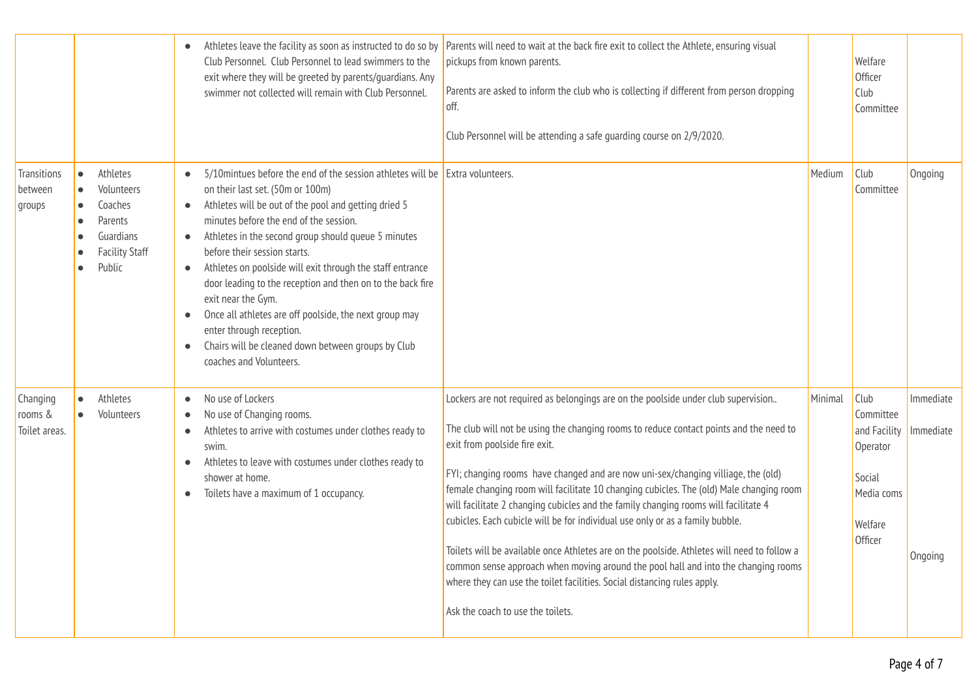|                                      |                                                                                                                                                               | Club Personnel. Club Personnel to lead swimmers to the<br>exit where they will be greeted by parents/guardians. Any<br>swimmer not collected will remain with Club Personnel.                                                                                                                                                                                                                                                                                                                                                                                                                                                                                             | Athletes leave the facility as soon as instructed to do so by Parents will need to wait at the back fire exit to collect the Athlete, ensuring visual<br>pickups from known parents.<br>Parents are asked to inform the club who is collecting if different from person dropping<br>off.<br>Club Personnel will be attending a safe quarding course on 2/9/2020.                                                                                                                                                                                                                                                                                                                                                                                                                                                                                                           |         | Welfare<br><b>Officer</b><br>Club<br>Committee                                              |                                   |
|--------------------------------------|---------------------------------------------------------------------------------------------------------------------------------------------------------------|---------------------------------------------------------------------------------------------------------------------------------------------------------------------------------------------------------------------------------------------------------------------------------------------------------------------------------------------------------------------------------------------------------------------------------------------------------------------------------------------------------------------------------------------------------------------------------------------------------------------------------------------------------------------------|----------------------------------------------------------------------------------------------------------------------------------------------------------------------------------------------------------------------------------------------------------------------------------------------------------------------------------------------------------------------------------------------------------------------------------------------------------------------------------------------------------------------------------------------------------------------------------------------------------------------------------------------------------------------------------------------------------------------------------------------------------------------------------------------------------------------------------------------------------------------------|---------|---------------------------------------------------------------------------------------------|-----------------------------------|
| Transitions<br>between<br>groups     | Athletes<br>$\bullet$<br>Volunteers<br>$\bullet$<br>Coaches<br>$\bullet$<br>Parents<br>$\bullet$<br>Guardians<br><b>Facility Staff</b><br>$\bullet$<br>Public | 5/10 mintues before the end of the session athletes will be Extra volunteers.<br>on their last set. (50m or 100m)<br>Athletes will be out of the pool and getting dried 5<br>$\bullet$<br>minutes before the end of the session.<br>Athletes in the second group should queue 5 minutes<br>before their session starts.<br>Athletes on poolside will exit through the staff entrance<br>$\bullet$<br>door leading to the reception and then on to the back fire<br>exit near the Gym.<br>Once all athletes are off poolside, the next group may<br>enter through reception.<br>Chairs will be cleaned down between groups by Club<br>$\bullet$<br>coaches and Volunteers. |                                                                                                                                                                                                                                                                                                                                                                                                                                                                                                                                                                                                                                                                                                                                                                                                                                                                            | Medium  | Club<br>Committee                                                                           | Ongoing                           |
| Changing<br>rooms &<br>Toilet areas. | Athletes<br>$\bullet$<br>Volunteers                                                                                                                           | No use of Lockers<br>$\bullet$<br>No use of Changing rooms.<br>$\bullet$<br>Athletes to arrive with costumes under clothes ready to<br>swim.<br>Athletes to leave with costumes under clothes ready to<br>$\bullet$<br>shower at home.<br>Toilets have a maximum of 1 occupancy.<br>$\bullet$                                                                                                                                                                                                                                                                                                                                                                             | Lockers are not required as belongings are on the poolside under club supervision<br>The club will not be using the changing rooms to reduce contact points and the need to<br>exit from poolside fire exit.<br>FYI; changing rooms have changed and are now uni-sex/changing villiage, the (old)<br>female changing room will facilitate 10 changing cubicles. The (old) Male changing room<br>will facilitate 2 changing cubicles and the family changing rooms will facilitate 4<br>cubicles. Each cubicle will be for individual use only or as a family bubble.<br>Toilets will be available once Athletes are on the poolside. Athletes will need to follow a<br>common sense approach when moving around the pool hall and into the changing rooms<br>where they can use the toilet facilities. Social distancing rules apply.<br>Ask the coach to use the toilets. | Minimal | Club<br>Committee<br>and Facility<br>Operator<br>Social<br>Media coms<br>Welfare<br>Officer | Immediate<br>Immediate<br>Ongoing |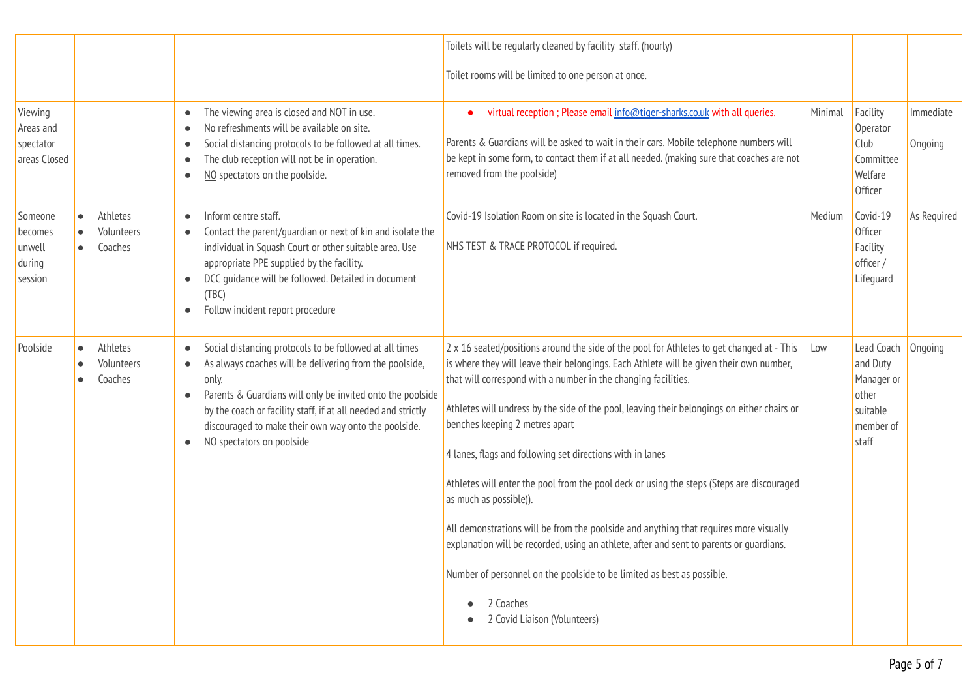|                                                   |                                                |                                                                                                                                                                                                                                                                                                                                                                                                     | Toilets will be regularly cleaned by facility staff. (hourly)<br>Toilet rooms will be limited to one person at once.                                                                                                                                                                                                                                                                                                                                                                                                                                                                                                                                                                                                                                                                                                                                                                   |         |                                                                                 |                      |
|---------------------------------------------------|------------------------------------------------|-----------------------------------------------------------------------------------------------------------------------------------------------------------------------------------------------------------------------------------------------------------------------------------------------------------------------------------------------------------------------------------------------------|----------------------------------------------------------------------------------------------------------------------------------------------------------------------------------------------------------------------------------------------------------------------------------------------------------------------------------------------------------------------------------------------------------------------------------------------------------------------------------------------------------------------------------------------------------------------------------------------------------------------------------------------------------------------------------------------------------------------------------------------------------------------------------------------------------------------------------------------------------------------------------------|---------|---------------------------------------------------------------------------------|----------------------|
| Viewing<br>Areas and<br>spectator<br>areas Closed |                                                | The viewing area is closed and NOT in use.<br>$\bullet$<br>No refreshments will be available on site.<br>$\bullet$<br>Social distancing protocols to be followed at all times.<br>$\bullet$<br>The club reception will not be in operation.<br>$\bullet$<br>NO spectators on the poolside.<br>$\bullet$                                                                                             | virtual reception ; Please email info@tiger-sharks.co.uk with all queries.<br>Parents & Guardians will be asked to wait in their cars. Mobile telephone numbers will<br>be kept in some form, to contact them if at all needed. (making sure that coaches are not<br>removed from the poolside)                                                                                                                                                                                                                                                                                                                                                                                                                                                                                                                                                                                        | Minimal | Facility<br>Operator<br>Club<br>Committee<br>Welfare<br>Officer                 | Immediate<br>Ongoing |
| Someone<br>becomes<br>unwell<br>during<br>session | Athletes<br>$\bullet$<br>Volunteers<br>Coaches | Inform centre staff.<br>$\bullet$<br>Contact the parent/guardian or next of kin and isolate the<br>$\bullet$<br>individual in Squash Court or other suitable area. Use<br>appropriate PPE supplied by the facility.<br>DCC guidance will be followed. Detailed in document<br>$\bullet$<br>(TBC)<br>Follow incident report procedure<br>$\bullet$                                                   | Covid-19 Isolation Room on site is located in the Squash Court.<br>NHS TEST & TRACE PROTOCOL if required.                                                                                                                                                                                                                                                                                                                                                                                                                                                                                                                                                                                                                                                                                                                                                                              | Medium  | Covid-19<br><b>Officer</b><br>Facility<br>officer /<br>Lifeguard                | As Required          |
| Poolside                                          | Athletes<br>$\bullet$<br>Volunteers<br>Coaches | Social distancing protocols to be followed at all times<br>$\bullet$<br>As always coaches will be delivering from the poolside,<br>$\bullet$<br>only.<br>Parents & Guardians will only be invited onto the poolside<br>$\bullet$<br>by the coach or facility staff, if at all needed and strictly<br>discouraged to make their own way onto the poolside.<br>NO spectators on poolside<br>$\bullet$ | 2 x 16 seated/positions around the side of the pool for Athletes to get changed at - This<br>is where they will leave their belongings. Each Athlete will be given their own number,<br>that will correspond with a number in the changing facilities.<br>Athletes will undress by the side of the pool, leaving their belongings on either chairs or<br>benches keeping 2 metres apart<br>4 lanes, flags and following set directions with in lanes<br>Athletes will enter the pool from the pool deck or using the steps (Steps are discouraged<br>as much as possible)).<br>All demonstrations will be from the poolside and anything that requires more visually<br>explanation will be recorded, using an athlete, after and sent to parents or quardians.<br>Number of personnel on the poolside to be limited as best as possible.<br>2 Coaches<br>2 Covid Liaison (Volunteers) | Low     | Lead Coach<br>and Duty<br>Manager or<br>other<br>suitable<br>member of<br>staff | Ongoing              |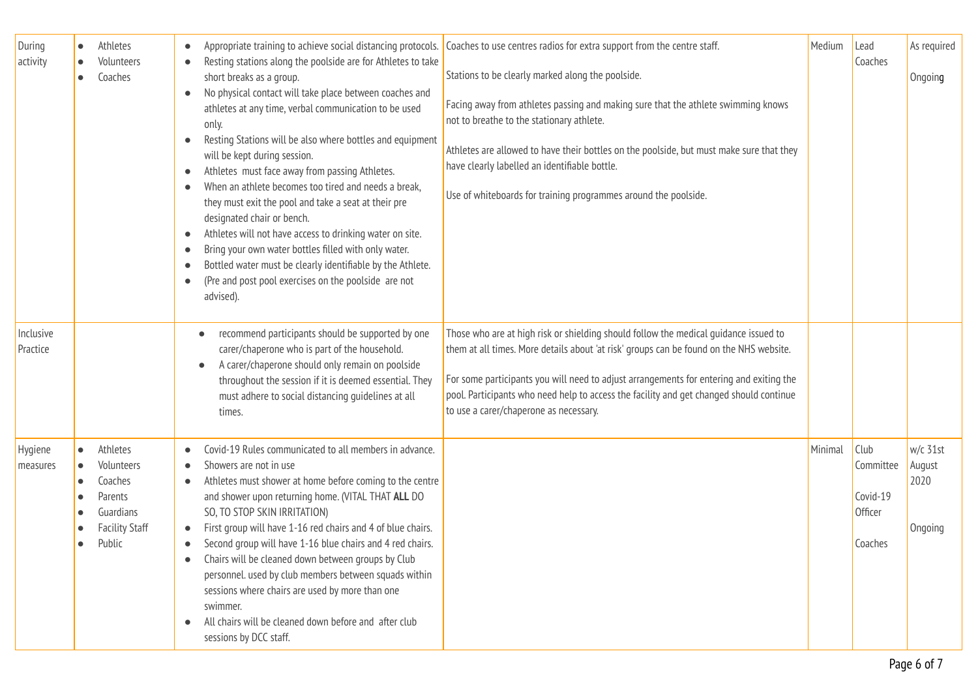| During<br>activity    | Athletes<br>$\bullet$<br>Volunteers<br>$\bullet$<br>Coaches                                               | Resting stations along the poolside are for Athletes to take<br>$\bullet$<br>short breaks as a group.<br>No physical contact will take place between coaches and<br>$\bullet$<br>athletes at any time, verbal communication to be used<br>only.<br>Resting Stations will be also where bottles and equipment<br>$\bullet$<br>will be kept during session.<br>Athletes must face away from passing Athletes.<br>$\bullet$<br>When an athlete becomes too tired and needs a break,<br>$\bullet$<br>they must exit the pool and take a seat at their pre<br>designated chair or bench.<br>Athletes will not have access to drinking water on site.<br>$\bullet$<br>Bring your own water bottles filled with only water.<br>$\bullet$<br>Bottled water must be clearly identifiable by the Athlete.<br>$\epsilon$<br>(Pre and post pool exercises on the poolside are not<br>$\bullet$<br>advised). | Appropriate training to achieve social distancing protocols. Coaches to use centres radios for extra support from the centre staff.<br>Stations to be clearly marked along the poolside.<br>Facing away from athletes passing and making sure that the athlete swimming knows<br>not to breathe to the stationary athlete.<br>Athletes are allowed to have their bottles on the poolside, but must make sure that they<br>have clearly labelled an identifiable bottle.<br>Use of whiteboards for training programmes around the poolside. | Medium  | Lead<br>Coaches                                            | As required<br>Ongoing                  |
|-----------------------|-----------------------------------------------------------------------------------------------------------|-------------------------------------------------------------------------------------------------------------------------------------------------------------------------------------------------------------------------------------------------------------------------------------------------------------------------------------------------------------------------------------------------------------------------------------------------------------------------------------------------------------------------------------------------------------------------------------------------------------------------------------------------------------------------------------------------------------------------------------------------------------------------------------------------------------------------------------------------------------------------------------------------|--------------------------------------------------------------------------------------------------------------------------------------------------------------------------------------------------------------------------------------------------------------------------------------------------------------------------------------------------------------------------------------------------------------------------------------------------------------------------------------------------------------------------------------------|---------|------------------------------------------------------------|-----------------------------------------|
| Inclusive<br>Practice |                                                                                                           | recommend participants should be supported by one<br>carer/chaperone who is part of the household.<br>A carer/chaperone should only remain on poolside<br>$\bullet$<br>throughout the session if it is deemed essential. They<br>must adhere to social distancing guidelines at all<br>times.                                                                                                                                                                                                                                                                                                                                                                                                                                                                                                                                                                                                   | Those who are at high risk or shielding should follow the medical guidance issued to<br>them at all times. More details about 'at risk' groups can be found on the NHS website.<br>For some participants you will need to adjust arrangements for entering and exiting the<br>pool. Participants who need help to access the facility and get changed should continue<br>to use a carer/chaperone as necessary.                                                                                                                            |         |                                                            |                                         |
| Hygiene<br>measures   | Athletes<br>$\bullet$<br>Volunteers<br>Coaches<br>Parents<br>Guardians<br><b>Facility Staff</b><br>Public | Covid-19 Rules communicated to all members in advance.<br>Showers are not in use<br>$\bullet$<br>Athletes must shower at home before coming to the centre<br>$\bullet$<br>and shower upon returning home. (VITAL THAT ALL DO<br>SO, TO STOP SKIN IRRITATION)<br>First group will have 1-16 red chairs and 4 of blue chairs.<br>$\bullet$<br>Second group will have 1-16 blue chairs and 4 red chairs.<br>$\bullet$<br>Chairs will be cleaned down between groups by Club<br>personnel. used by club members between squads within<br>sessions where chairs are used by more than one<br>swimmer.<br>All chairs will be cleaned down before and after club<br>$\bullet$<br>sessions by DCC staff.                                                                                                                                                                                                |                                                                                                                                                                                                                                                                                                                                                                                                                                                                                                                                            | Minimal | Club<br>Committee<br>Covid-19<br><b>Officer</b><br>Coaches | $w/c$ 31st<br>August<br>2020<br>Ongoing |